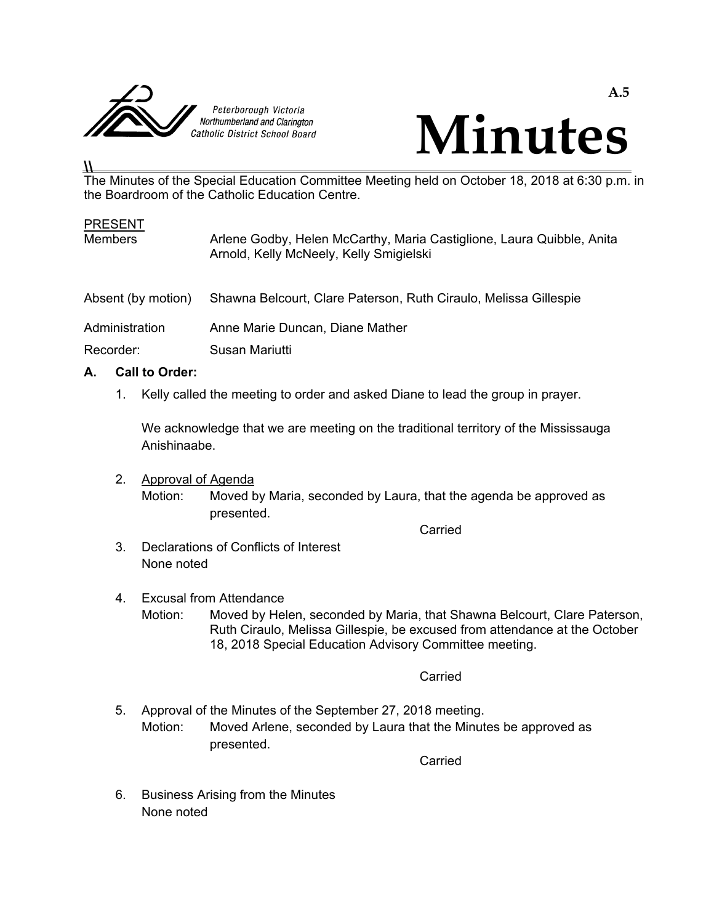



### The Minutes of the Special Education Committee Meeting held on October 18, 2018 at 6:30 p.m. in the Boardroom of the Catholic Education Centre.

| <b>PRESENT</b><br><b>Members</b> | Arlene Godby, Helen McCarthy, Maria Castiglione, Laura Quibble, Anita<br>Arnold, Kelly McNeely, Kelly Smigielski |
|----------------------------------|------------------------------------------------------------------------------------------------------------------|
| Absent (by motion)               | Shawna Belcourt, Clare Paterson, Ruth Ciraulo, Melissa Gillespie                                                 |
| Administration                   | Anne Marie Duncan, Diane Mather                                                                                  |
| Recorder:                        | Susan Mariutti                                                                                                   |
|                                  |                                                                                                                  |

# **A. Call to Order:**

**\\** 

1. Kelly called the meeting to order and asked Diane to lead the group in prayer.

 We acknowledge that we are meeting on the traditional territory of the Mississauga Anishinaabe.

 2. Approval of Agenda Motion: Moved by Maria, seconded by Laura, that the agenda be approved as presented.

**Carried Carried Carried Carried Carried Carried Carried Carried Carried Carried Carried Carried Carried Carried Carried Carried Carried Carried Carried Carried Carried Carried Carried Carried Carried Carried Carried Carri** 

- 3. Declarations of Conflicts of Interest None noted
- 4. Excusal from Attendance Motion: Moved by Helen, seconded by Maria, that Shawna Belcourt, Clare Paterson, Ruth Ciraulo, Melissa Gillespie, be excused from attendance at the October 18, 2018 Special Education Advisory Committee meeting.

**Carried Carried Carried Carried Carried Carried Carried Carried Carried Carried Carried Carried Carried Carried Carried Carried Carried Carried Carried Carried Carried Carried Carried Carried Carried Carried Carried Carri** 

 5. Approval of the Minutes of the September 27, 2018 meeting. Motion: Moved Arlene, seconded by Laura that the Minutes be approved as presented.

**Carried Carried Carried Carried Carried Carried Carried Carried Carried Carried Carried Carried Carried Carried Carried Carried Carried Carried Carried Carried Carried Carried Carried Carried Carried Carried Carried Carri** 

 6. Business Arising from the Minutes None noted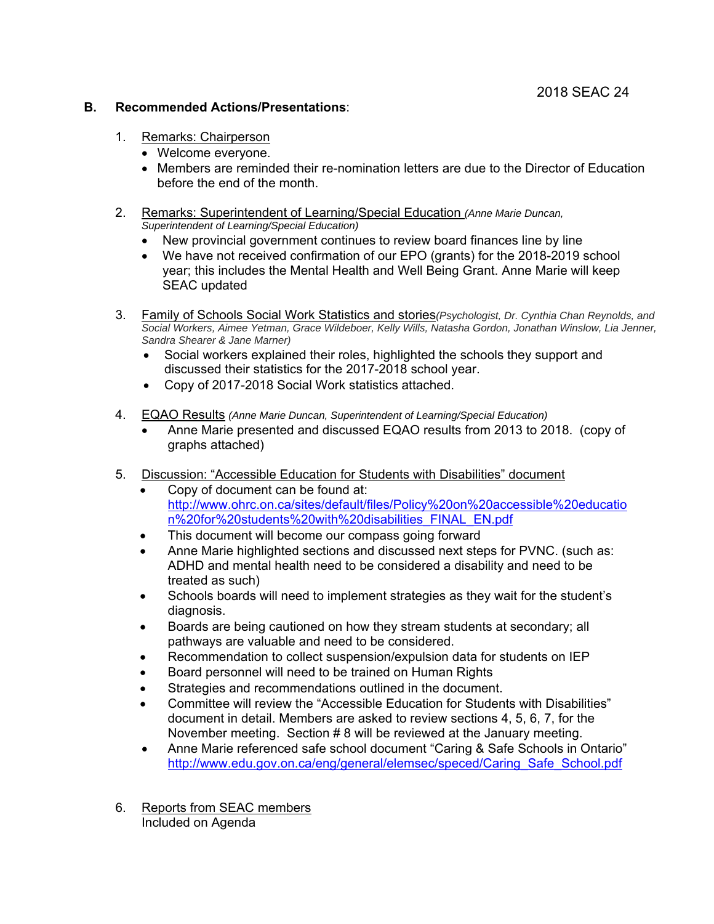#### **B. Recommended Actions/Presentations**:

- 1. Remarks: Chairperson
	- Welcome everyone.
	- Members are reminded their re-nomination letters are due to the Director of Education before the end of the month.
- 2. Remarks: Superintendent of Learning/Special Education *(Anne Marie Duncan, Superintendent of Learning/Special Education)* 
	- New provincial government continues to review board finances line by line
	- We have not received confirmation of our EPO (grants) for the 2018-2019 school year; this includes the Mental Health and Well Being Grant. Anne Marie will keep SEAC updated
- 3. Family of Schools Social Work Statistics and stories*(Psychologist, Dr. Cynthia Chan Reynolds, and Social Workers, Aimee Yetman, Grace Wildeboer, Kelly Wills, Natasha Gordon, Jonathan Winslow, Lia Jenner, Sandra Shearer & Jane Marner)* 
	- Social workers explained their roles, highlighted the schools they support and discussed their statistics for the 2017-2018 school year.
	- Copy of 2017-2018 Social Work statistics attached.
- 4. EQAO Results *(Anne Marie Duncan, Superintendent of Learning/Special Education)* 
	- Anne Marie presented and discussed EQAO results from 2013 to 2018. (copy of graphs attached)
- 5. Discussion: "Accessible Education for Students with Disabilities" document
	- Copy of document can be found at: http://www.ohrc.on.ca/sites/default/files/Policy%20on%20accessible%20educatio n%20for%20students%20with%20disabilities\_FINAL\_EN.pdf
	- This document will become our compass going forward
	- Anne Marie highlighted sections and discussed next steps for PVNC. (such as: ADHD and mental health need to be considered a disability and need to be treated as such)
	- Schools boards will need to implement strategies as they wait for the student's diagnosis.
	- Boards are being cautioned on how they stream students at secondary; all pathways are valuable and need to be considered.
	- Recommendation to collect suspension/expulsion data for students on IEP
	- Board personnel will need to be trained on Human Rights
	- Strategies and recommendations outlined in the document.
	- Committee will review the "Accessible Education for Students with Disabilities" document in detail. Members are asked to review sections 4, 5, 6, 7, for the November meeting. Section # 8 will be reviewed at the January meeting.
	- Anne Marie referenced safe school document "Caring & Safe Schools in Ontario" http://www.edu.gov.on.ca/eng/general/elemsec/speced/Caring\_Safe\_School.pdf
- 6. Reports from SEAC members Included on Agenda